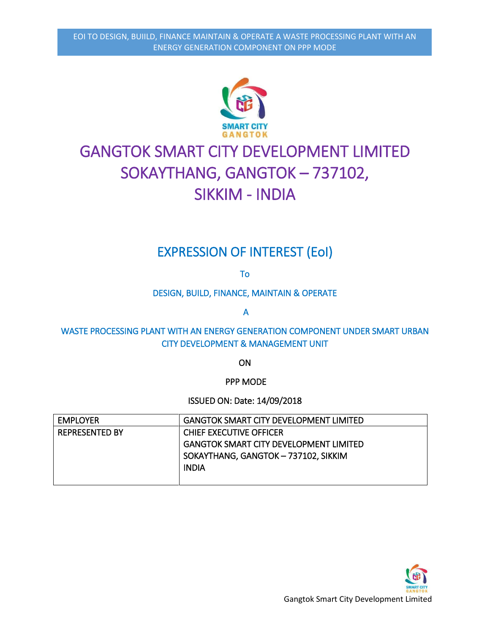

# GANGTOK SMART CITY DEVELOPMENT LIMITED SOKAYTHANG, GANGTOK – 737102, SIKKIM - INDIA

# EXPRESSION OF INTEREST (EoI)

To

DESIGN, BUILD, FINANCE, MAINTAIN & OPERATE

A

WASTE PROCESSING PLANT WITH AN ENERGY GENERATION COMPONENT UNDER SMART URBAN CITY DEVELOPMENT & MANAGEMENT UNIT

**ON** 

PPP MODE

ISSUED ON: Date: 14/09/2018

| EMPLOYER              | <b>GANGTOK SMART CITY DEVELOPMENT LIMITED</b> |
|-----------------------|-----------------------------------------------|
| <b>REPRESENTED BY</b> | CHIEF EXECUTIVE OFFICER                       |
|                       | <b>GANGTOK SMART CITY DEVELOPMENT LIMITED</b> |
|                       | SOKAYTHANG, GANGTOK - 737102, SIKKIM          |
|                       | <b>INDIA</b>                                  |
|                       |                                               |

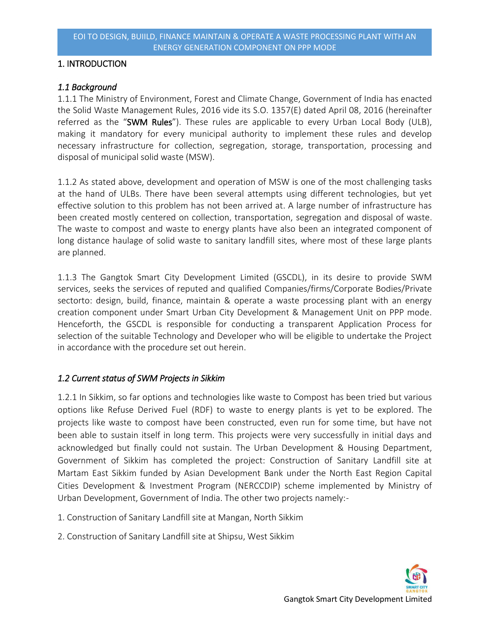## 1. INTRODUCTION

# *1.1 Background*

1.1.1 The Ministry of Environment, Forest and Climate Change, Government of India has enacted the Solid Waste Management Rules, 2016 vide its S.O. 1357(E) dated April 08, 2016 (hereinafter referred as the "SWM Rules"). These rules are applicable to every Urban Local Body (ULB), making it mandatory for every municipal authority to implement these rules and develop necessary infrastructure for collection, segregation, storage, transportation, processing and disposal of municipal solid waste (MSW).

1.1.2 As stated above, development and operation of MSW is one of the most challenging tasks at the hand of ULBs. There have been several attempts using different technologies, but yet effective solution to this problem has not been arrived at. A large number of infrastructure has been created mostly centered on collection, transportation, segregation and disposal of waste. The waste to compost and waste to energy plants have also been an integrated component of long distance haulage of solid waste to sanitary landfill sites, where most of these large plants are planned.

1.1.3 The Gangtok Smart City Development Limited (GSCDL), in its desire to provide SWM services, seeks the services of reputed and qualified Companies/firms/Corporate Bodies/Private sectorto: design, build, finance, maintain & operate a waste processing plant with an energy creation component under Smart Urban City Development & Management Unit on PPP mode. Henceforth, the GSCDL is responsible for conducting a transparent Application Process for selection of the suitable Technology and Developer who will be eligible to undertake the Project in accordance with the procedure set out herein.

# *1.2 Current status of SWM Projects in Sikkim*

1.2.1 In Sikkim, so far options and technologies like waste to Compost has been tried but various options like Refuse Derived Fuel (RDF) to waste to energy plants is yet to be explored. The projects like waste to compost have been constructed, even run for some time, but have not been able to sustain itself in long term. This projects were very successfully in initial days and acknowledged but finally could not sustain. The Urban Development & Housing Department, Government of Sikkim has completed the project: Construction of Sanitary Landfill site at Martam East Sikkim funded by Asian Development Bank under the North East Region Capital Cities Development & Investment Program (NERCCDIP) scheme implemented by Ministry of Urban Development, Government of India. The other two projects namely:-

- 1. Construction of Sanitary Landfill site at Mangan, North Sikkim
- 2. Construction of Sanitary Landfill site at Shipsu, West Sikkim

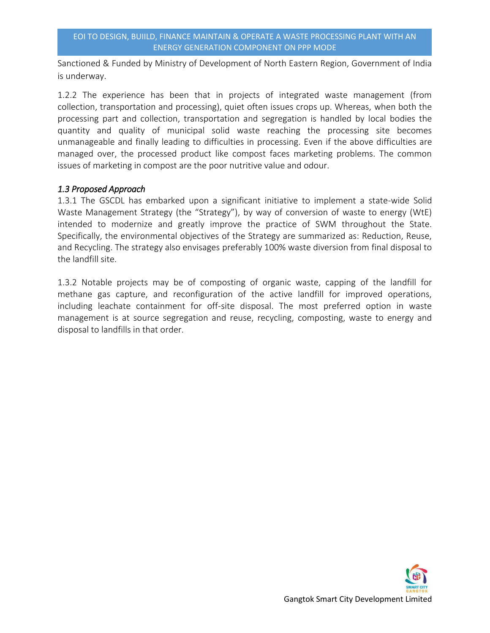Sanctioned & Funded by Ministry of Development of North Eastern Region, Government of India is underway.

1.2.2 The experience has been that in projects of integrated waste management (from collection, transportation and processing), quiet often issues crops up. Whereas, when both the processing part and collection, transportation and segregation is handled by local bodies the quantity and quality of municipal solid waste reaching the processing site becomes unmanageable and finally leading to difficulties in processing. Even if the above difficulties are managed over, the processed product like compost faces marketing problems. The common issues of marketing in compost are the poor nutritive value and odour.

## *1.3 Proposed Approach*

1.3.1 The GSCDL has embarked upon a significant initiative to implement a state-wide Solid Waste Management Strategy (the "Strategy"), by way of conversion of waste to energy (WtE) intended to modernize and greatly improve the practice of SWM throughout the State. Specifically, the environmental objectives of the Strategy are summarized as: Reduction, Reuse, and Recycling. The strategy also envisages preferably 100% waste diversion from final disposal to the landfill site.

1.3.2 Notable projects may be of composting of organic waste, capping of the landfill for methane gas capture, and reconfiguration of the active landfill for improved operations, including leachate containment for off-site disposal. The most preferred option in waste management is at source segregation and reuse, recycling, composting, waste to energy and disposal to landfills in that order.

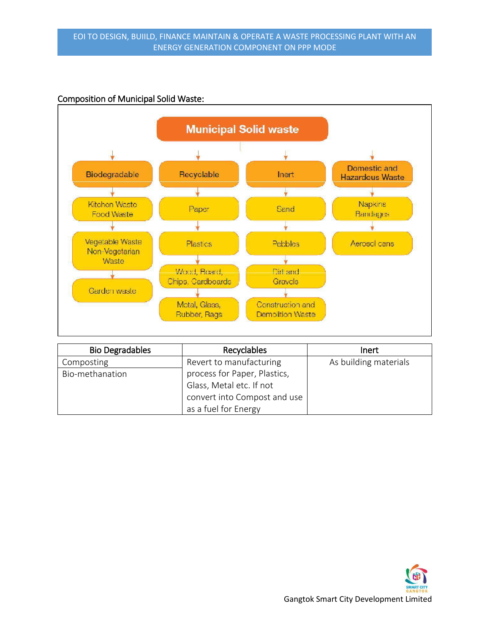#### Composition of Municipal Solid Waste:



| <b>Bio Degradables</b> | Recyclables                  | Inert                 |
|------------------------|------------------------------|-----------------------|
| Composting             | Revert to manufacturing      | As building materials |
| Bio-methanation        | process for Paper, Plastics, |                       |
|                        | Glass, Metal etc. If not     |                       |
|                        | convert into Compost and use |                       |
|                        | as a fuel for Energy         |                       |

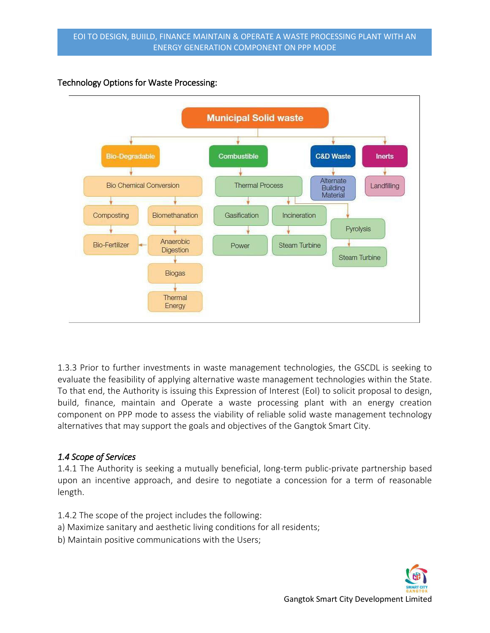# Technology Options for Waste Processing:



1.3.3 Prior to further investments in waste management technologies, the GSCDL is seeking to evaluate the feasibility of applying alternative waste management technologies within the State. To that end, the Authority is issuing this Expression of Interest (EoI) to solicit proposal to design, build, finance, maintain and Operate a waste processing plant with an energy creation component on PPP mode to assess the viability of reliable solid waste management technology alternatives that may support the goals and objectives of the Gangtok Smart City.

# *1.4 Scope of Services*

1.4.1 The Authority is seeking a mutually beneficial, long-term public-private partnership based upon an incentive approach, and desire to negotiate a concession for a term of reasonable length.

- 1.4.2 The scope of the project includes the following:
- a) Maximize sanitary and aesthetic living conditions for all residents;
- b) Maintain positive communications with the Users;

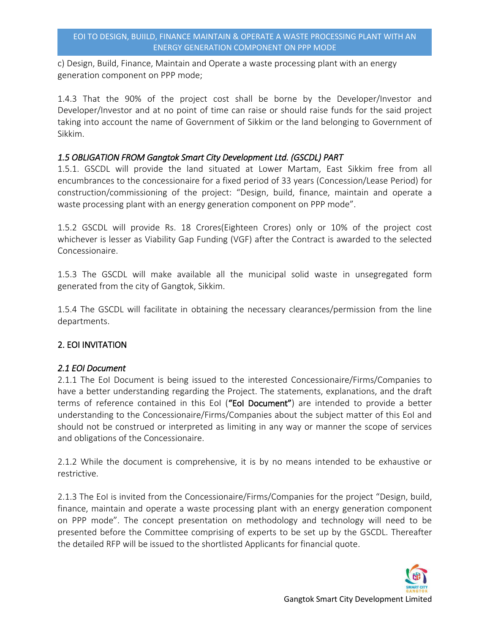c) Design, Build, Finance, Maintain and Operate a waste processing plant with an energy generation component on PPP mode;

1.4.3 That the 90% of the project cost shall be borne by the Developer/Investor and Developer/Investor and at no point of time can raise or should raise funds for the said project taking into account the name of Government of Sikkim or the land belonging to Government of Sikkim.

## *1.5 OBLIGATION FROM Gangtok Smart City Development Ltd. (GSCDL) PART*

1.5.1. GSCDL will provide the land situated at Lower Martam, East Sikkim free from all encumbrances to the concessionaire for a fixed period of 33 years (Concession/Lease Period) for construction/commissioning of the project: "Design, build, finance, maintain and operate a waste processing plant with an energy generation component on PPP mode".

1.5.2 GSCDL will provide Rs. 18 Crores(Eighteen Crores) only or 10% of the project cost whichever is lesser as Viability Gap Funding (VGF) after the Contract is awarded to the selected Concessionaire.

1.5.3 The GSCDL will make available all the municipal solid waste in unsegregated form generated from the city of Gangtok, Sikkim.

1.5.4 The GSCDL will facilitate in obtaining the necessary clearances/permission from the line departments.

## 2. EOI INVITATION

## *2.1 EOI Document*

2.1.1 The EoI Document is being issued to the interested Concessionaire/Firms/Companies to have a better understanding regarding the Project. The statements, explanations, and the draft terms of reference contained in this EoI ("EoI Document") are intended to provide a better understanding to the Concessionaire/Firms/Companies about the subject matter of this EoI and should not be construed or interpreted as limiting in any way or manner the scope of services and obligations of the Concessionaire.

2.1.2 While the document is comprehensive, it is by no means intended to be exhaustive or restrictive.

2.1.3 The EoI is invited from the Concessionaire/Firms/Companies for the project "Design, build, finance, maintain and operate a waste processing plant with an energy generation component on PPP mode". The concept presentation on methodology and technology will need to be presented before the Committee comprising of experts to be set up by the GSCDL. Thereafter the detailed RFP will be issued to the shortlisted Applicants for financial quote.

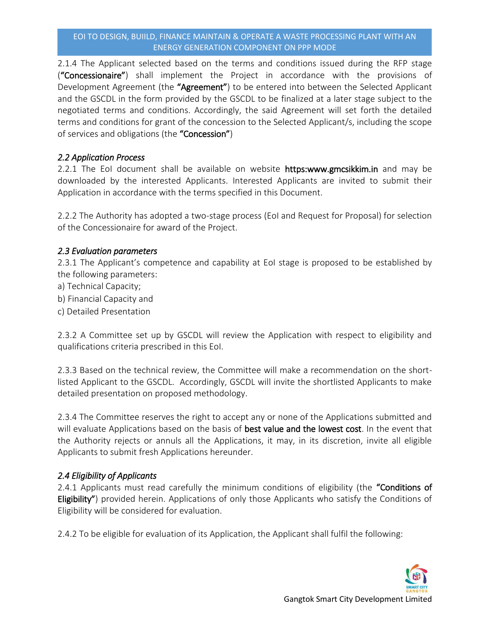#### EOI TO DESIGN, BUIILD, FINANCE MAINTAIN & OPERATE A WASTE PROCESSING PLANT WITH AN ENERGY GENERATION COMPONENT ON PPP MODE

2.1.4 The Applicant selected based on the terms and conditions issued during the RFP stage ("Concessionaire") shall implement the Project in accordance with the provisions of Development Agreement (the "Agreement") to be entered into between the Selected Applicant and the GSCDL in the form provided by the GSCDL to be finalized at a later stage subject to the negotiated terms and conditions. Accordingly, the said Agreement will set forth the detailed terms and conditions for grant of the concession to the Selected Applicant/s, including the scope of services and obligations (the "Concession")

# *2.2 Application Process*

2.2.1 The EoI document shall be available on website https:www.gmcsikkim.in and may be downloaded by the interested Applicants. Interested Applicants are invited to submit their Application in accordance with the terms specified in this Document.

2.2.2 The Authority has adopted a two-stage process (EoI and Request for Proposal) for selection of the Concessionaire for award of the Project.

## *2.3 Evaluation parameters*

2.3.1 The Applicant's competence and capability at EoI stage is proposed to be established by the following parameters:

- a) Technical Capacity;
- b) Financial Capacity and
- c) Detailed Presentation

2.3.2 A Committee set up by GSCDL will review the Application with respect to eligibility and qualifications criteria prescribed in this EoI.

2.3.3 Based on the technical review, the Committee will make a recommendation on the shortlisted Applicant to the GSCDL. Accordingly, GSCDL will invite the shortlisted Applicants to make detailed presentation on proposed methodology.

2.3.4 The Committee reserves the right to accept any or none of the Applications submitted and will evaluate Applications based on the basis of **best value and the lowest cost**. In the event that the Authority rejects or annuls all the Applications, it may, in its discretion, invite all eligible Applicants to submit fresh Applications hereunder.

# *2.4 Eligibility of Applicants*

2.4.1 Applicants must read carefully the minimum conditions of eligibility (the "Conditions of Eligibility") provided herein. Applications of only those Applicants who satisfy the Conditions of Eligibility will be considered for evaluation.

2.4.2 To be eligible for evaluation of its Application, the Applicant shall fulfil the following: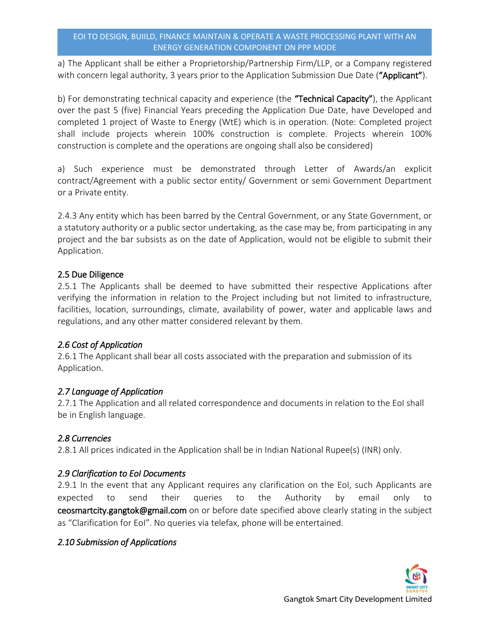a) The Applicant shall be either a Proprietorship/Partnership Firm/LLP, or a Company registered with concern legal authority, 3 years prior to the Application Submission Due Date ("Applicant").

b) For demonstrating technical capacity and experience (the "Technical Capacity"), the Applicant over the past 5 (five) Financial Years preceding the Application Due Date, have Developed and completed 1 project of Waste to Energy (WtE) which is in operation. (Note: Completed project shall include projects wherein 100% construction is complete. Projects wherein 100% construction is complete and the operations are ongoing shall also be considered)

a) Such experience must be demonstrated through Letter of Awards/an explicit contract/Agreement with a public sector entity/ Government or semi Government Department or a Private entity.

2.4.3 Any entity which has been barred by the Central Government, or any State Government, or a statutory authority or a public sector undertaking, as the case may be, from participating in any project and the bar subsists as on the date of Application, would not be eligible to submit their Application.

# 2.5 Due Diligence

2.5.1 The Applicants shall be deemed to have submitted their respective Applications after verifying the information in relation to the Project including but not limited to infrastructure, facilities, location, surroundings, climate, availability of power, water and applicable laws and regulations, and any other matter considered relevant by them.

# *2.6 Cost of Application*

2.6.1 The Applicant shall bear all costs associated with the preparation and submission of its Application.

# *2.7 Language of Application*

2.7.1 The Application and all related correspondence and documents in relation to the EoI shall be in English language.

# *2.8 Currencies*

2.8.1 All prices indicated in the Application shall be in Indian National Rupee(s) (INR) only.

# *2.9 Clarification to EoI Documents*

2.9.1 In the event that any Applicant requires any clarification on the EoI, such Applicants are expected to send their queries to the Authority by email only to ceosmartcity.gangtok@gmail.com on or before date specified above clearly stating in the subject as "Clarification for EoI". No queries via telefax, phone will be entertained.

# *2.10 Submission of Applications*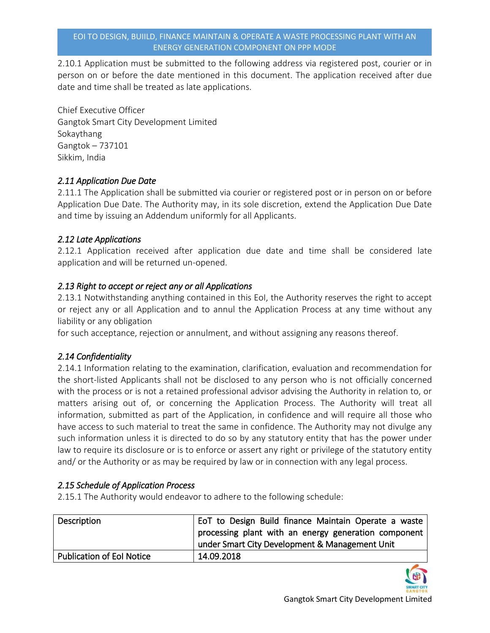2.10.1 Application must be submitted to the following address via registered post, courier or in person on or before the date mentioned in this document. The application received after due date and time shall be treated as late applications.

Chief Executive Officer Gangtok Smart City Development Limited Sokaythang Gangtok – 737101 Sikkim, India

# *2.11 Application Due Date*

2.11.1 The Application shall be submitted via courier or registered post or in person on or before Application Due Date. The Authority may, in its sole discretion, extend the Application Due Date and time by issuing an Addendum uniformly for all Applicants.

# *2.12 Late Applications*

2.12.1 Application received after application due date and time shall be considered late application and will be returned un-opened.

# *2.13 Right to accept or reject any or all Applications*

2.13.1 Notwithstanding anything contained in this EoI, the Authority reserves the right to accept or reject any or all Application and to annul the Application Process at any time without any liability or any obligation

for such acceptance, rejection or annulment, and without assigning any reasons thereof.

# *2.14 Confidentiality*

2.14.1 Information relating to the examination, clarification, evaluation and recommendation for the short-listed Applicants shall not be disclosed to any person who is not officially concerned with the process or is not a retained professional advisor advising the Authority in relation to, or matters arising out of, or concerning the Application Process. The Authority will treat all information, submitted as part of the Application, in confidence and will require all those who have access to such material to treat the same in confidence. The Authority may not divulge any such information unless it is directed to do so by any statutory entity that has the power under law to require its disclosure or is to enforce or assert any right or privilege of the statutory entity and/ or the Authority or as may be required by law or in connection with any legal process.

## *2.15 Schedule of Application Process*

2.15.1 The Authority would endeavor to adhere to the following schedule:

| Description                      | EoT to Design Build finance Maintain Operate a waste |
|----------------------------------|------------------------------------------------------|
|                                  | processing plant with an energy generation component |
|                                  | under Smart City Development & Management Unit       |
| <b>Publication of Eol Notice</b> | 14.09.2018                                           |

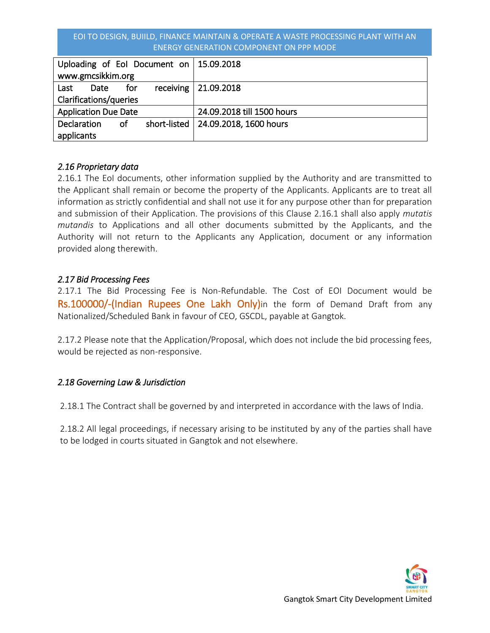#### EOI TO DESIGN, BUIILD, FINANCE MAINTAIN & OPERATE A WASTE PROCESSING PLANT WITH AN ENERGY GENERATION COMPONENT ON PPP MODE

| Uploading of Eol Document on   15.09.2018 |     |  |                                       |
|-------------------------------------------|-----|--|---------------------------------------|
| www.gmcsikkim.org                         |     |  |                                       |
| Last<br>Date                              | for |  | receiving $ 21.09.2018$               |
| Clarifications/queries                    |     |  |                                       |
| <b>Application Due Date</b>               |     |  | 24.09.2018 till 1500 hours            |
| <b>Declaration</b>                        | of  |  | short-listed   24.09.2018, 1600 hours |
| applicants                                |     |  |                                       |

## *2.16 Proprietary data*

2.16.1 The EoI documents, other information supplied by the Authority and are transmitted to the Applicant shall remain or become the property of the Applicants. Applicants are to treat all information as strictly confidential and shall not use it for any purpose other than for preparation and submission of their Application. The provisions of this Clause 2.16.1 shall also apply *mutatis mutandis* to Applications and all other documents submitted by the Applicants, and the Authority will not return to the Applicants any Application, document or any information provided along therewith.

#### *2.17 Bid Processing Fees*

2.17.1 The Bid Processing Fee is Non-Refundable. The Cost of EOI Document would be Rs.100000/-(Indian Rupees One Lakh Only)in the form of Demand Draft from any Nationalized/Scheduled Bank in favour of CEO, GSCDL, payable at Gangtok.

2.17.2 Please note that the Application/Proposal, which does not include the bid processing fees, would be rejected as non-responsive.

## *2.18 Governing Law & Jurisdiction*

2.18.1 The Contract shall be governed by and interpreted in accordance with the laws of India.

2.18.2 All legal proceedings, if necessary arising to be instituted by any of the parties shall have to be lodged in courts situated in Gangtok and not elsewhere.

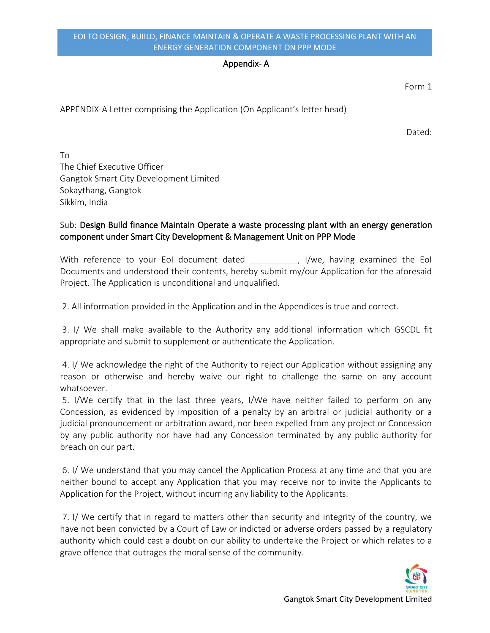#### Appendix- A

Form 1

APPENDIX-A Letter comprising the Application (On Applicant's letter head)

Dated:

To The Chief Executive Officer Gangtok Smart City Development Limited Sokaythang, Gangtok Sikkim, India

# Sub: Design Build finance Maintain Operate a waste processing plant with an energy generation component under Smart City Development & Management Unit on PPP Mode

With reference to your EoI document dated \_\_\_\_\_\_\_\_\_, I/we, having examined the EoI Documents and understood their contents, hereby submit my/our Application for the aforesaid Project. The Application is unconditional and unqualified.

2. All information provided in the Application and in the Appendices is true and correct.

 3. I/ We shall make available to the Authority any additional information which GSCDL fit appropriate and submit to supplement or authenticate the Application.

 4. I/ We acknowledge the right of the Authority to reject our Application without assigning any reason or otherwise and hereby waive our right to challenge the same on any account whatsoever.

 5. I/We certify that in the last three years, I/We have neither failed to perform on any Concession, as evidenced by imposition of a penalty by an arbitral or judicial authority or a judicial pronouncement or arbitration award, nor been expelled from any project or Concession by any public authority nor have had any Concession terminated by any public authority for breach on our part.

 6. I/ We understand that you may cancel the Application Process at any time and that you are neither bound to accept any Application that you may receive nor to invite the Applicants to Application for the Project, without incurring any liability to the Applicants.

 7. I/ We certify that in regard to matters other than security and integrity of the country, we have not been convicted by a Court of Law or indicted or adverse orders passed by a regulatory authority which could cast a doubt on our ability to undertake the Project or which relates to a grave offence that outrages the moral sense of the community.

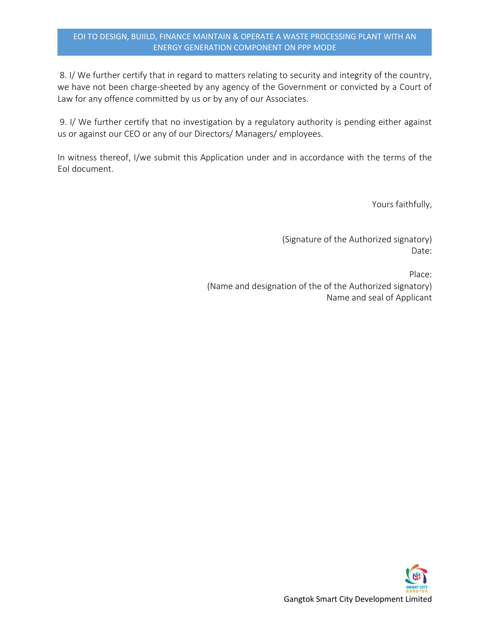#### EOI TO DESIGN, BUIILD, FINANCE MAINTAIN & OPERATE A WASTE PROCESSING PLANT WITH AN ENERGY GENERATION COMPONENT ON PPP MODE

 8. I/ We further certify that in regard to matters relating to security and integrity of the country, we have not been charge-sheeted by any agency of the Government or convicted by a Court of Law for any offence committed by us or by any of our Associates.

 9. I/ We further certify that no investigation by a regulatory authority is pending either against us or against our CEO or any of our Directors/ Managers/ employees.

In witness thereof, I/we submit this Application under and in accordance with the terms of the EoI document.

Yours faithfully,

(Signature of the Authorized signatory) Date:

 Place: (Name and designation of the of the Authorized signatory) Name and seal of Applicant

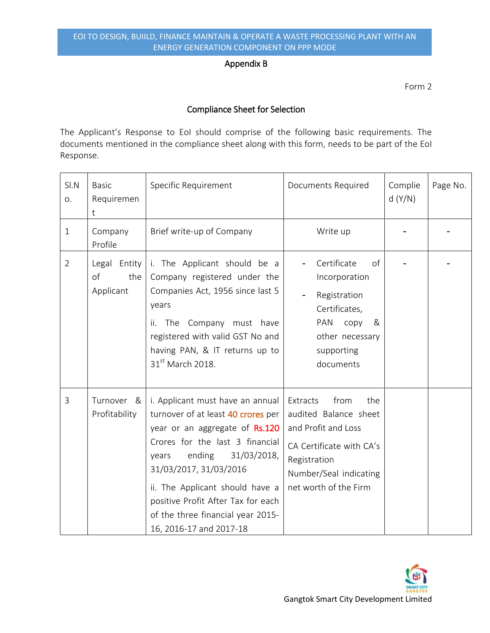#### Appendix B

Form 2

# Compliance Sheet for Selection

The Applicant's Response to EoI should comprise of the following basic requirements. The documents mentioned in the compliance sheet along with this form, needs to be part of the EoI Response.

| SI.N<br>O.     | <b>Basic</b><br>Requiremen<br>t        | Specific Requirement                                                                                                                                                                                                                                                                                                                             | Documents Required                                                                                                                                                     | Complie<br>d(Y/N) | Page No. |
|----------------|----------------------------------------|--------------------------------------------------------------------------------------------------------------------------------------------------------------------------------------------------------------------------------------------------------------------------------------------------------------------------------------------------|------------------------------------------------------------------------------------------------------------------------------------------------------------------------|-------------------|----------|
| $\mathbf{1}$   | Company<br>Profile                     | Brief write-up of Company                                                                                                                                                                                                                                                                                                                        | Write up                                                                                                                                                               |                   |          |
| $\overline{2}$ | Legal Entity<br>of<br>the<br>Applicant | i. The Applicant should be a<br>Company registered under the<br>Companies Act, 1956 since last 5<br>years<br>The Company must have<br>ii.<br>registered with valid GST No and<br>having PAN, & IT returns up to<br>31 <sup>st</sup> March 2018.                                                                                                  | Certificate<br>of<br>Incorporation<br>Registration<br>Certificates,<br>PAN<br>copy<br>&<br>other necessary<br>supporting<br>documents                                  |                   |          |
| 3              | Turnover &<br>Profitability            | i. Applicant must have an annual<br>turnover of at least 40 crores per<br>year or an aggregate of Rs.120<br>Crores for the last 3 financial<br>ending<br>31/03/2018,<br>years<br>31/03/2017, 31/03/2016<br>ii. The Applicant should have a<br>positive Profit After Tax for each<br>of the three financial year 2015-<br>16, 2016-17 and 2017-18 | from<br>Extracts<br>the<br>audited Balance sheet<br>and Profit and Loss<br>CA Certificate with CA's<br>Registration<br>Number/Seal indicating<br>net worth of the Firm |                   |          |

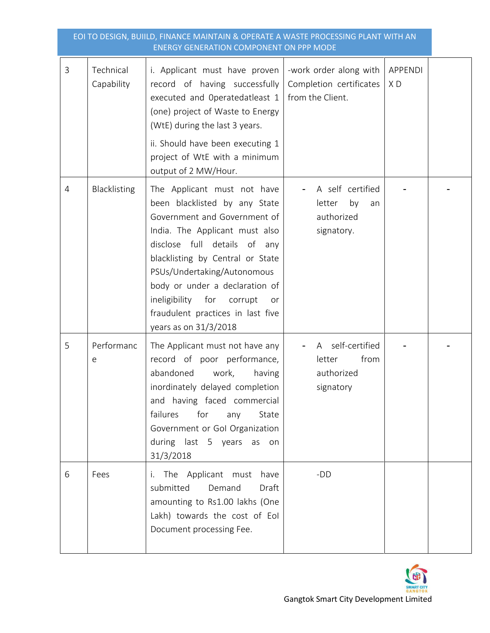| EOI TO DESIGN, BUIILD, FINANCE MAINTAIN & OPERATE A WASTE PROCESSING PLANT WITH AN<br><b>ENERGY GENERATION COMPONENT ON PPP MODE</b> |                         |                                                                                                                                                                                                                                                                                                                                                                                 |                                                                       |                      |  |
|--------------------------------------------------------------------------------------------------------------------------------------|-------------------------|---------------------------------------------------------------------------------------------------------------------------------------------------------------------------------------------------------------------------------------------------------------------------------------------------------------------------------------------------------------------------------|-----------------------------------------------------------------------|----------------------|--|
| 3                                                                                                                                    | Technical<br>Capability | i. Applicant must have proven<br>record of having successfully<br>executed and Operatedatleast 1<br>(one) project of Waste to Energy<br>(WtE) during the last 3 years.<br>ii. Should have been executing 1<br>project of WtE with a minimum<br>output of 2 MW/Hour.                                                                                                             | -work order along with<br>Completion certificates<br>from the Client. | <b>APPENDI</b><br>XD |  |
| 4                                                                                                                                    | Blacklisting            | The Applicant must not have<br>been blacklisted by any State<br>Government and Government of<br>India. The Applicant must also<br>disclose full details of<br>any<br>blacklisting by Central or State<br>PSUs/Undertaking/Autonomous<br>body or under a declaration of<br>ineligibility<br>for<br>corrupt<br>or<br>fraudulent practices in last five<br>years as on $31/3/2018$ | A self certified<br>by<br>letter<br>an<br>authorized<br>signatory.    |                      |  |
| 5                                                                                                                                    | Performanc<br>е         | The Applicant must not have any<br>record of poor performance,<br>abandoned<br>work,<br>having<br>inordinately delayed completion<br>and having faced commercial<br>failures<br>for<br>any<br>State<br>Government or Gol Organization<br>during last 5 years as on<br>31/3/2018                                                                                                 | A self-certified<br>letter<br>from<br>authorized<br>signatory         |                      |  |
| 6                                                                                                                                    | Fees                    | i. The Applicant must<br>have<br>submitted<br>Demand<br>Draft<br>amounting to Rs1.00 lakhs (One<br>Lakh) towards the cost of Eol<br>Document processing Fee.                                                                                                                                                                                                                    | -DD                                                                   |                      |  |

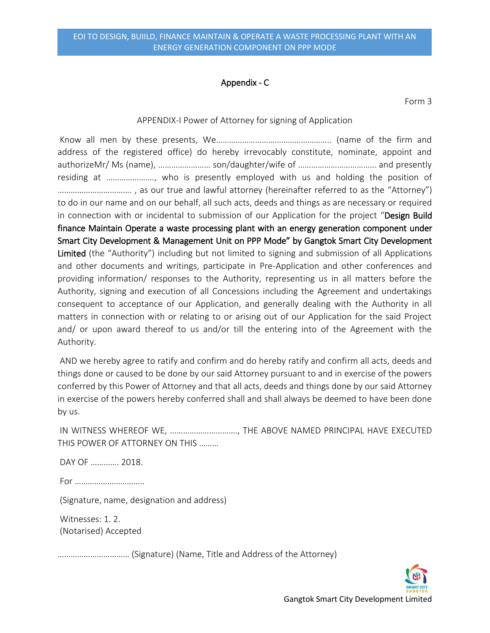#### Appendix - C

Form 3

#### APPENDIX-I Power of Attorney for signing of Application

Know all men by these presents, We…………………………………………….. (name of the firm and address of the registered office) do hereby irrevocably constitute, nominate, appoint and authorizeMr/ Ms (name), …………………… son/daughter/wife of ……………………………… and presently residing at …………………., who is presently employed with us and holding the position of ……………………………. , as our true and lawful attorney (hereinafter referred to as the "Attorney") to do in our name and on our behalf, all such acts, deeds and things as are necessary or required in connection with or incidental to submission of our Application for the project "Design Build finance Maintain Operate a waste processing plant with an energy generation component under Smart City Development & Management Unit on PPP Mode" by Gangtok Smart City Development Limited (the "Authority") including but not limited to signing and submission of all Applications and other documents and writings, participate in Pre-Application and other conferences and providing information/ responses to the Authority, representing us in all matters before the Authority, signing and execution of all Concessions including the Agreement and undertakings consequent to acceptance of our Application, and generally dealing with the Authority in all matters in connection with or relating to or arising out of our Application for the said Project and/ or upon award thereof to us and/or till the entering into of the Agreement with the Authority.

 AND we hereby agree to ratify and confirm and do hereby ratify and confirm all acts, deeds and things done or caused to be done by our said Attorney pursuant to and in exercise of the powers conferred by this Power of Attorney and that all acts, deeds and things done by our said Attorney in exercise of the powers hereby conferred shall and shall always be deemed to have been done by us.

IN WITNESS WHEREOF WE, …………………………., THE ABOVE NAMED PRINCIPAL HAVE EXECUTED THIS POWER OF ATTORNEY ON THIS ………

DAY OF …………. 2018.

For …………………………..

(Signature, name, designation and address)

 Witnesses: 1. 2. (Notarised) Accepted

…………………………… (Signature) (Name, Title and Address of the Attorney)